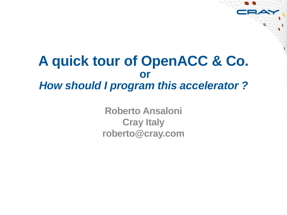# **A quick tour of OpenACC & Co. or** *How should I program this accelerator ?*

**Roberto Ansaloni Cray Italy roberto@cray.com**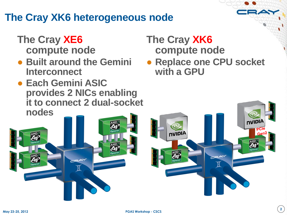# **The Cray XK6 heterogeneous node**

#### **The Cray XE6 compute node**

- **Built around the Gemini Interconnect**
- **Each Gemini ASIC provides 2 NICs enabling it to connect 2 dual-socket nodes**

#### **The Cray XK6 compute node**

nvipiA

● **Replace one CPU socket with a GPU**

**NIDIA**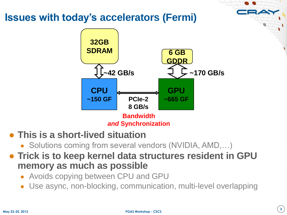#### **Issues with today"s accelerators (Fermi)**



**Bandwidth** *and* **Synchronization**

- **This is a short-lived situation**
	- Solutions coming from several vendors (NVIDIA, AMD,...)
- **Trick is to keep kernel data structures resident in GPU memory as much as possible**
	- Avoids copying between CPU and GPU
	- Use async, non-blocking, communication, multi-level overlapping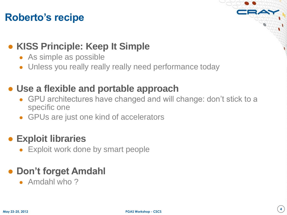# **Roberto"s recipe**

### ● **KISS Principle: Keep It Simple**

- As simple as possible
- Unless you really really really need performance today

#### ● **Use a flexible and portable approach**

- GPU architectures have changed and will change: don't stick to a specific one
- GPUs are just one kind of accelerators

#### ● **Exploit libraries**

• Exploit work done by smart people

# ● **Don"t forget Amdahl**

 $\bullet$  Amdahl who ?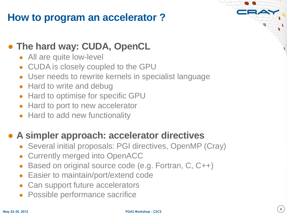# **How to program an accelerator ?**

#### ● **The hard way: CUDA, OpenCL**

- All are quite low-level
- CUDA is closely coupled to the GPU
- User needs to rewrite kernels in specialist language
- Hard to write and debug
- **Hard to optimise for specific GPU**
- Hard to port to new accelerator
- Hard to add new functionality

# ● **A simpler approach: accelerator directives**

- Several initial proposals: PGI directives, OpenMP (Cray)
- **Currently merged into OpenACC**
- Based on original source code (e.g. Fortran, C, C++)
- **Easier to maintain/port/extend code**
- Can support future accelerators
- Possible performance sacrifice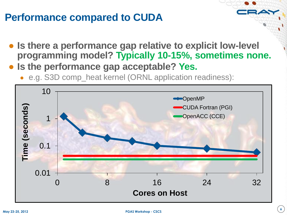# **Performance compared to CUDA**

- **Is there a performance gap relative to explicit low-level programming model? Typically 10-15%, sometimes none.**
- **Is the performance gap acceptable? Yes.**
	- e.g. S3D comp\_heat kernel (ORNL application readiness):

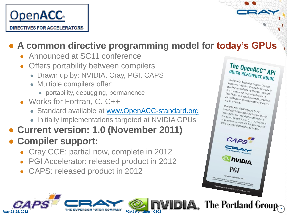

# ● **A common directive programming model for today"s GPUs**

**PGAS Workshop - CSCS**

- Announced at SC11 conference
- Offers portability between compilers
	- Drawn up by: NVIDIA, Cray, PGI, CAPS
	- Multiple compilers offer:
		- portability, debugging, permanence
- Works for Fortran, C, C++
	- Standard available at [www.OpenACC-standard.org](http://www.openacc-standard.org/)
	- Initially implementations targeted at NVIDIA GPUs
- **Current version: 1.0 (November 2011)**

# ● **Compiler support:**

May 23-25, 201

- Cray CCE: partial now, complete in 2012
- PGI Accelerator: released product in 2012
- CAPS: released product in 2012



The OpenACC Application Program Interface<br>describes a collection of compiler direction<br>specify loops and describes a collection of cogram Interface<br>Specify loops and ren of compiler directives to<br>C. C++ and Fortence disconsider of code in orspecify loops and regions of compiler directives to<br>C, C++ and Fortran to be offloaded in statives to<br>host CPU to an out to be offloaded from C. C++ and Fortrain to be official of in stand,<br>thost CPU to an attached acceler from a<br>portability and attached acceleration is the and Fortrain to be offloaded from a<br>portability across operations of code in standard<br>portability across operating systems because the and accelerator, providing For CPU to an attached accelerator, providing<br>portability across operating systems, providing<br>and accelerators. and accelerators

Most OpenACC directives apply to the<br>Immediately following structures<br>a structure is following structure. This UpenACC directives apply to the<br>immediately following structured block or loop;<br>a structured block is a single statement . a structured block is a single statement<br>compound statement (C or C++) or and statement<br>of statement (C or C++) or a statement or a compound statement (C or C++) or a sequence<br>of statements (Fortran) with a single statement or a<br>at the top and a pictual with a single and and ouripound statement (C or C++) or a sequence<br>of statements (Fortran) with a single entropy<br>at the top and a single exit at the hott-<br>point at the top and a single exit at the bottom.<br>The top and a single exit at the bottom.

CAPS

PGI Verslan 1.0, November 2011 Version 1.0, November 2011<br>Ind create a monetal language in the South of County Containers and County County County of the County of County<br>In the a monetary specification free monetary departure to the c

© 2011 OpenACC-standard.org all rights reserved.

**NVIDIA** 

**The Portland Group**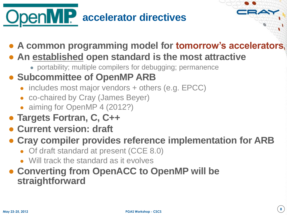# **DenMP** accelerator directives

- **A common programming model for tomorrow"s accelerators**
- **An established open standard is the most attractive**
	- portability; multiple compilers for debugging; permanence

# ● **Subcommittee of OpenMP ARB**

- includes most major vendors + others (e.g. EPCC)
- co-chaired by Cray (James Beyer)
- aiming for OpenMP 4 (2012?)
- **Targets Fortran, C, C++**
- **Current version: draft**
- **Cray compiler provides reference implementation for ARB** 
	- Of draft standard at present (CCE 8.0)
	- Will track the standard as it evolves
- **Converting from OpenACC to OpenMP will be straightforward**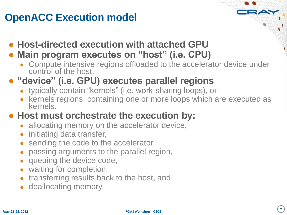# **OpenACC Execution model**

● **Host-directed execution with attached GPU**

#### ● **Main program executes on "host" (i.e. CPU)**

• Compute intensive regions offloaded to the accelerator device under control of the host.

# ● **"device" (i.e. GPU) executes parallel regions**

- typically contain "kernels" (i.e. work-sharing loops), or
- kernels regions, containing one or more loops which are executed as kernels.

# ● **Host must orchestrate the execution by:**

- allocating memory on the accelerator device,
- initiating data transfer,
- sending the code to the accelerator,
- passing arguments to the parallel region,
- queuing the device code,
- waiting for completion,
- transferring results back to the host, and
- deallocating memory.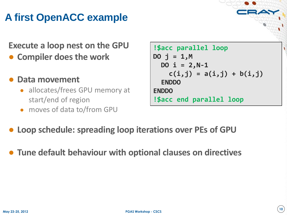# **A first OpenACC example**

# **Execute a loop nest on the GPU**

- **Compiler does the work**
- **Data movement**
	- allocates/frees GPU memory at start/end of region
	- moves of data to/from GPU

```
!$acc parallel loop 
DO j = 1,M
   DO i = 2,N-1
     c(i,j) = a(i,j) + b(i,j)
   ENDDO
ENDDO
!$acc end parallel loop
```
- **Loop schedule: spreading loop iterations over PEs of GPU**
- **Tune default behaviour with optional clauses on directives**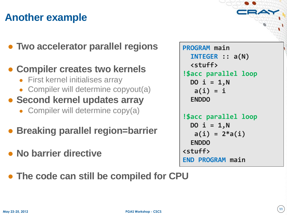# **Another example**

● **Two accelerator parallel regions**

#### ● **Compiler creates two kernels**

- First kernel initialises array
- Compiler will determine copyout(a)

#### ● **Second kernel updates array**

• Compiler will determine copy(a)

#### ● **Breaking parallel region=barrier**

● **No barrier directive**

```
PROGRAM main
   INTEGER :: a(N)
   <stuff>
!$acc parallel loop
  DO i = 1, N a(i) = i
   ENDDO
!$acc parallel loop
  DO i = 1, N a(i) = 2*a(i)
  ENDDO
<stuff>
END PROGRAM main
```
● **The code can still be compiled for CPU**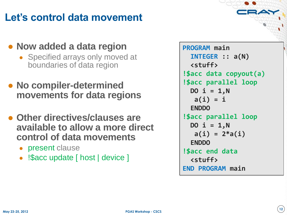# **Let"s control data movement**

#### ● **Now added a data region**

- Specified arrays only moved at boundaries of data region
- **No compiler-determined movements for data regions**
- **Other directives/clauses are available to allow a more direct control of data movements**
	- present clause
	- !Sacc update [ host | device ]

```
PROGRAM main
   INTEGER :: a(N)
   <stuff>
!$acc data copyout(a)
!$acc parallel loop
   DO i = 1,N
    a(i) = i
   ENDDO
!$acc parallel loop
   DO i = 1,N
    a(i) = 2*a(i)
  ENDDO
!$acc end data
   <stuff>
END PROGRAM main
```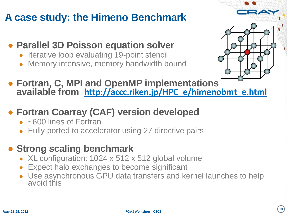# **A case study: the Himeno Benchmark**

- **Parallel 3D Poisson equation solver** 
	- Iterative loop evaluating 19-point stencil
	- Memory intensive, memory bandwidth bound



- **Fortran, C, MPI and OpenMP implementations available from [http://accc.riken.jp/HPC\\_e/himenobmt\\_e.html](http://accc.riken.jp/HPC_e/himenobmt_e.html)**
- **Fortran Coarray (CAF) version developed**
	- ~600 lines of Fortran
	- Fully ported to accelerator using 27 directive pairs
- **Strong scaling benchmark**
	- XL configuration:  $1024 \times 512 \times 512$  global volume
	- Expect halo exchanges to become significant
	- Use asynchronous GPU data transfers and kernel launches to help avoid this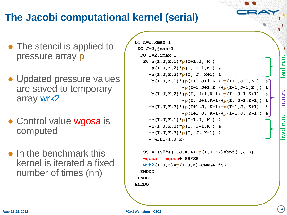# **The Jacobi computational kernel (serial)**

- The stencil is applied to pressure array p
- Updated pressure values are saved to temporary array wrk2
- Control value wgosa is computed
- $\bullet$  In the benchmark this kernel is iterated a fixed number of times (nn)

```
DO K=2,kmax-1
DO J=2,jmax-1
  DO I=2,imax-1
    S0=a(I,J,K,1)*p(I+1,J, K ) 
      +a(I,J,K,2)*p(I, J+1,K ) &
      +a(I,J,K,3)*p(I, J, K+1) &
      +b(I,J,K,1)*(p(I+1,J+1,K )-p(I+1,J-1,K ) &
                   -p(I-1,J+1,K )+p(I-1,J-1,K )) &
      +b(I,J,K,2)*(p(I, J+1,K+1)-p(I, J-1,K+1) &
                   -p(I, J+1,K-1)+p(I, J-1,K-1)) &
      +b(I,J,K,3)*(p(I+1,J, K+1)-p(I-1,J, K+1) &
                   -p(I+1,J, K-1)+p(I-1,J, K-1)) &
      +c(I,J,K,1)*p(I-1,J, K ) &
      +c(I,J,K,2)*p(I, J-1,K ) &
      +c(I,J,K,3)*p(I, J, K-1) &
      + wrk1(I,J,K)
   SS = (S0 * a (I, J, K, 4) - p (I, J, K)) * bnd (I, J, K) wgosa = wgosa+ SS*SS
   wrk2(I,J,K)=p(I,J,K)+OMEGA *SS
   ENDDO
 ENDDO
```
**ENDDO**

**fwd n.n.**

**bwd n.n. n.n.n.**

n.n

pwd

**n.n.n**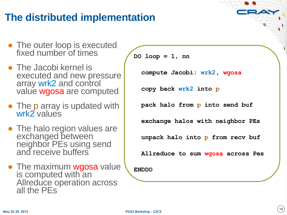# **The distributed implementation**

- The outer loop is executed fixed number of times
- The Jacobi kernel is executed and new pressure array wrk2 and control value wgosa are computed
- The p array is updated with wrk2 values
- The halo region values are exchanged between neighbor PEs using send and receive buffers
- The maximum wgosa value is computed with an Allreduce operation across all the PEs

**DO loop = 1, nn**

 **compute Jacobi: wrk2, wgosa**

 **copy back wrk2 into p**

 **pack halo from p into send buf**

 **exchange halos with neighbor PEs**

 **unpack halo into p from recv buf**

 **Allreduce to sum wgosa across Pes**

**ENDDO**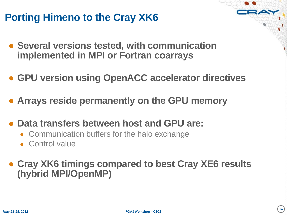# **Porting Himeno to the Cray XK6**

- **Several versions tested, with communication implemented in MPI or Fortran coarrays**
- **GPU version using OpenACC accelerator directives**
- **Arrays reside permanently on the GPU memory**
- **Data transfers between host and GPU are:**
	- Communication buffers for the halo exchange
	- Control value

● **Cray XK6 timings compared to best Cray XE6 results (hybrid MPI/OpenMP)**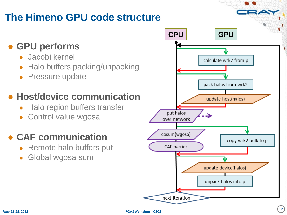# **The Himeno GPU code structure**

# ● **GPU performs**

- Jacobi kernel
- **Halo buffers packing/unpacking**
- **Pressure update**

# ● **Host/device communication**

- **Halo region buffers transfer**
- Control value wgosa

# ● **CAF communication**

- Remote halo buffers put
- Global wgosa sum

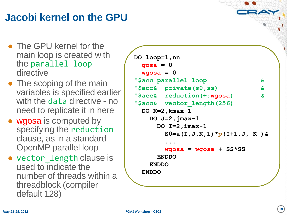# **Jacobi kernel on the GPU**

- The GPU kernel for the main loop is created with the parallel loop directive
- The scoping of the main variables is specified earlier with the data directive - no need to replicate it in here
- wgosa is computed by specifying the reduction clause, as in a standard OpenMP parallel loop
- vector\_length clause is used to indicate the number of threads within a threadblock (compiler default 128)

```
DO loop=1,nn
  gosa = 0
 wqsa = 0!$acc parallel loop &
!$acc& private(s0,ss) &
!$acc& reduction(+:wgosa) &
!$acc& vector_length(256)
  DO K=2,kmax-1
    DO J=2,jmax-1
      DO I=2,imax-1
        S0=a(I,J,K,1)*p(I+1,J, K )&
 ...
        wgosa = wgosa + SS*SS
      ENDDO
    ENDDO
  ENDDO
```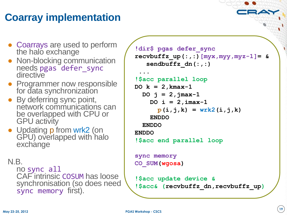# **Coarray implementation**

- Coarrays are used to perform the halo exchange
- Non-blocking communication needs pgas defer\_sync directive
- Programmer now responsible for data synchronization
- By deferring sync point, network communications can be overlapped with CPU or GPU activity
- Updating p from wrk2 (on GPU) overlapped with halo exchange

#### N.B.

no sync all CAF intrinsic COSUM has loose synchronisation (so does need sync memory first).

```
!dir$ pgas defer_sync
recvbutfx up(:,:) [myx,myy,myz-1] = & sendbuffz_dn(:,:)
 ...
!$acc parallel loop
DO k = 2,kmax-1
   DO j = 2,jmax-1
     DO i = 2,imax-1
      p(i,j,k) = wrk2(i,j,k) ENDDO
   ENDDO
ENDDO
!$acc end parallel loop
sync memory
CO_SUM(wgosa)
!$acc update device &
!$acc& (recvbuffz_dn,recvbuffz_up)
```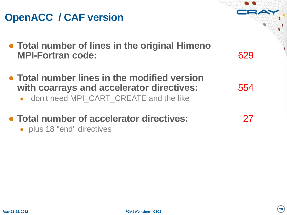#### **May 23-25, 2012**

# **OpenACC / CAF version**

- **Total number of lines in the original Himeno MPI-Fortran code:** 629
- **Total number lines in the modified version with coarrays and accelerator directives:** 554
	- don't need MPI\_CART\_CREATE and the like
- **Total number of accelerator directives:** 27
	- plus 18 "end" directives

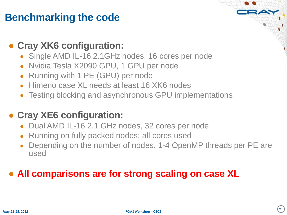# **Benchmarking the code**

#### ● **Cray XK6 configuration:**

- Single AMD IL-16 2.1GHz nodes, 16 cores per node
- Nvidia Tesla X2090 GPU, 1 GPU per node
- Running with 1 PE (GPU) per node
- Himeno case XL needs at least 16 XK6 nodes
- Testing blocking and asynchronous GPU implementations

#### ● **Cray XE6 configuration:**

- Dual AMD IL-16 2.1 GHz nodes, 32 cores per node
- Running on fully packed nodes: all cores used
- Depending on the number of nodes, 1-4 OpenMP threads per PE are used

#### ● **All comparisons are for strong scaling on case XL**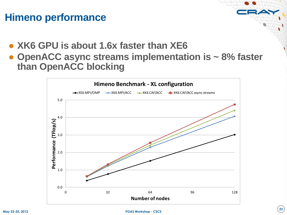# **Himeno performance**

- **XK6 GPU is about 1.6x faster than XE6**
- **OpenACC async streams implementation is ~ 8% faster than OpenACC blocking**

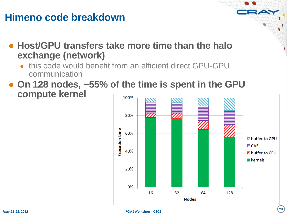# **Himeno code breakdown**

● **Host/GPU transfers take more time than the halo exchange (network)**

- this code would benefit from an efficient direct GPU-GPU communication
- **On 128 nodes, ~55% of the time is spent in the GPU compute kernel** 100%

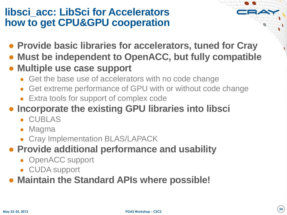# **libsci\_acc: LibSci for Accelerators how to get CPU&GPU cooperation**

- **Provide basic libraries for accelerators, tuned for Cray**
- **Must be independent to OpenACC, but fully compatible**
- **Multiple use case support**
	- Get the base use of accelerators with no code change
	- Get extreme performance of GPU with or without code change
	- Extra tools for support of complex code
- **Incorporate the existing GPU libraries into libsci**
	- CUBLAS
	- Magma
	- Cray Implementation BLAS/LAPACK
- **Provide additional performance and usability** 
	- OpenACC support
	- CUDA support
- **Maintain the Standard APIs where possible!**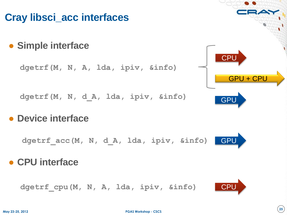# **Cray libsci\_acc interfaces**

● **Simple interface**

**dgetrf(M, N, A, lda, ipiv, &info)**

**dgetrf(M, N, d\_A, lda, ipiv, &info)**

● **Device interface**

**dgetrf\_acc(M, N, d\_A, lda, ipiv, &info)**

# ● **CPU interface**

 **dgetrf\_cpu(M, N, A, lda, ipiv, &info)** 



GPU



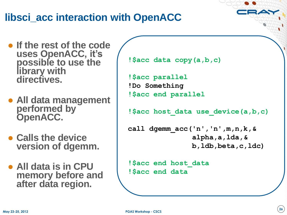# **libsci\_acc interaction with OpenACC**

- **If the rest of the code uses OpenACC, it"s possible to use the library with directives.**
- **All data management performed by OpenACC.**
- **Calls the device version of dgemm.**
- **All data is in CPU memory before and after data region.**

```
!$acc data copy(a,b,c)
```
**!\$acc parallel !Do Something !\$acc end parallel**

**!\$acc host\_data use\_device(a,b,c)**

```
call dgemm_acc('n','n',m,n,k,&
                alpha,a,lda,&
                b,ldb,beta,c,ldc)
```
**!\$acc end host\_data !\$acc end data**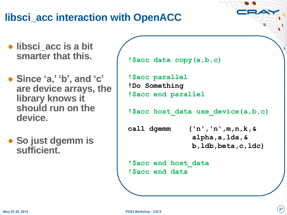# **libsci\_acc interaction with OpenACC**

- **libsci\_acc is a bit smarter that this.**
- **Since "a," "b", and "c" are device arrays, the library knows it should run on the device.**
- **So just dgemm is sufficient.**

```
!$acc data copy(a,b,c)
```

```
!$acc parallel
!Do Something
!$acc end parallel
```

```
!$acc host_data use_device(a,b,c)
```
**call dgemm ('n','n',m,n,k,& alpha,a,lda,& b,ldb,beta,c,ldc)**

**!\$acc end host\_data !\$acc end data**